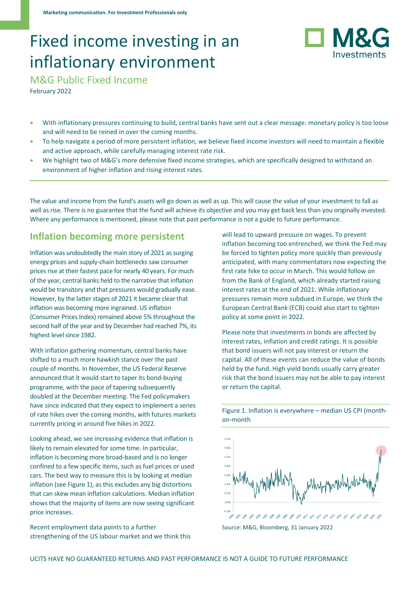# Fixed income investing in an inflationary environment



M&G Public Fixed Income

February 2022

- With inflationary pressures continuing to build, central banks have sent out a clear message: monetary policy is too loose and will need to be reined in over the coming months.
- To help navigate a period of more persistent inflation, we believe fixed income investors will need to maintain a flexible and active approach, while carefully managing interest rate risk.
- We highlight two of M&G's more defensive fixed income strategies, which are specifically designed to withstand an environment of higher inflation and rising interest rates.

The value and income from the fund's assets will go down as well as up. This will cause the value of your investment to fall as well as rise. There is no guarantee that the fund will achieve its objective and you may get back less than you originally invested. Where any performance is mentioned, please note that past performance is not a guide to future performance.

## **Inflation becoming more persistent**

Inflation was undoubtedly the main story of 2021 as surging energy prices and supply-chain bottlenecks saw consumer prices rise at their fastest pace for nearly 40 years. For much of the year, central banks held to the narrative that inflation would be transitory and that pressures would gradually ease. However, by the latter stages of 2021 it became clear that inflation was becoming more ingrained. US inflation (Consumer Prices Index) remained above 5% throughout the second half of the year and by December had reached 7%, its highest level since 1982.

With inflation gathering momentum, central banks have shifted to a much more hawkish stance over the past couple of months. In November, the US Federal Reserve announced that it would start to taper its bond-buying programme, with the pace of tapering subsequently doubled at the December meeting. The Fed policymakers have since indicated that they expect to implement a series of rate hikes over the coming months, with futures markets currently pricing in around five hikes in 2022.

Looking ahead, we see increasing evidence that inflation is likely to remain elevated for some time. In particular, inflation is becoming more broad-based and is no longer confined to a few specific items, such as fuel prices or used cars. The best way to measure this is by looking at median inflation (see Figure 1), as this excludes any big distortions that can skew mean inflation calculations. Median inflation shows that the majority of items are now seeing significant price increases.

Recent employment data points to a further strengthening of the US labour market and we think this will lead to upward pressure on wages. To prevent inflation becoming too entrenched, we think the Fed may be forced to tighten policy more quickly than previously anticipated, with many commentators now expecting the first rate hike to occur in March. This would follow on from the Bank of England, which already started raising interest rates at the end of 2021. While inflationary pressures remain more subdued in Europe, we think the European Central Bank (ECB) could also start to tighten policy at some point in 2022.

Please note that investments in bonds are affected by interest rates, inflation and credit ratings. It is possible that bond issuers will not pay interest or return the capital. All of these events can reduce the value of bonds held by the fund. High yield bonds usually carry greater risk that the bond issuers may not be able to pay interest or return the capital.



Figure 1. Inflation is everywhere – median US CPI (monthon-month

Source: M&G, Bloomberg, 31 January 2022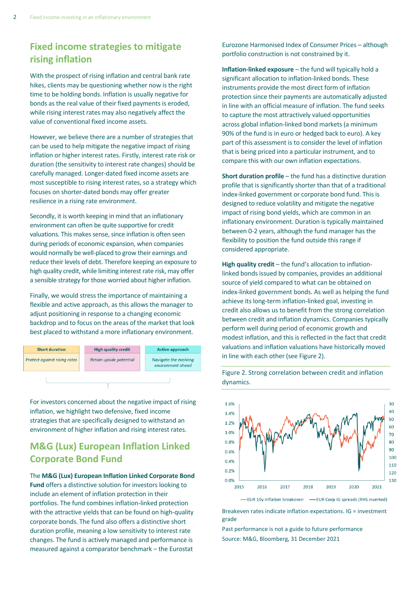## **Fixed income strategies to mitigate rising inflation**

With the prospect of rising inflation and central bank rate hikes, clients may be questioning whether now is the right time to be holding bonds. Inflation is usually negative for bonds as the real value of their fixed payments is eroded, while rising interest rates may also negatively affect the value of conventional fixed income assets.

However, we believe there are a number of strategies that can be used to help mitigate the negative impact of rising inflation or higher interest rates. Firstly, interest rate risk or duration (the sensitivity to interest rate changes) should be carefully managed. Longer-dated fixed income assets are most susceptible to rising interest rates, so a strategy which focuses on shorter-dated bonds may offer greater resilience in a rising rate environment.

Secondly, it is worth keeping in mind that an inflationary environment can often be quite supportive for credit valuations. This makes sense, since inflation is often seen during periods of economic expansion, when companies would normally be well-placed to grow their earnings and reduce their levels of debt. Therefore keeping an exposure to high quality credit, while limiting interest rate risk, may offer a sensible strategy for those worried about higher inflation.

Finally, we would stress the importance of maintaining a flexible and active approach, as this allows the manager to adjust positioning in response to a changing economic backdrop and to focus on the areas of the market that look best placed to withstand a more inflationary environment.



For investors concerned about the negative impact of rising inflation, we highlight two defensive, fixed income strategies that are specifically designed to withstand an environment of higher inflation and rising interest rates.

## **M&G (Lux) European Inflation Linked Corporate Bond Fund**

### The **M&G (Lux) European Inflation Linked Corporate Bond Fund** offers a distinctive solution for investors looking to include an element of inflation protection in their portfolios. The fund combines inflation-linked protection with the attractive yields that can be found on high-quality corporate bonds. The fund also offers a distinctive short duration profile, meaning a low sensitivity to interest rate changes. The fund is actively managed and performance is measured against a comparator benchmark – the Eurostat

Eurozone Harmonised Index of Consumer Prices – although portfolio construction is not constrained by it.

**Inflation-linked exposure** – the fund will typically hold a significant allocation to inflation-linked bonds. These instruments provide the most direct form of inflation protection since their payments are automatically adjusted in line with an official measure of inflation. The fund seeks to capture the most attractively valued opportunities across global inflation-linked bond markets (a minimum 90% of the fund is in euro or hedged back to euro). A key part of this assessment is to consider the level of inflation that is being priced into a particular instrument, and to compare this with our own inflation expectations.

**Short duration profile** – the fund has a distinctive duration profile that is significantly shorter than that of a traditional index-linked government or corporate bond fund. This is designed to reduce volatility and mitigate the negative impact of rising bond yields, which are common in an inflationary environment. Duration is typically maintained between 0-2 years, although the fund manager has the flexibility to position the fund outside this range if considered appropriate.

**High quality credit** – the fund's allocation to inflationlinked bonds issued by companies, provides an additional source of yield compared to what can be obtained on index-linked government bonds. As well as helping the fund achieve its long-term inflation-linked goal, investing in credit also allows us to benefit from the strong correlation between credit and inflation dynamics. Companies typically perform well during period of economic growth and modest inflation, and this is reflected in the fact that credit valuations and inflation valuations have historically moved in line with each other (see Figure 2).

Figure 2. Strong correlation between credit and inflation dynamics.



Breakeven rates indicate inflation expectations. IG = investment grade

Past performance is not a guide to future performance Source: M&G, Bloomberg, 31 December 2021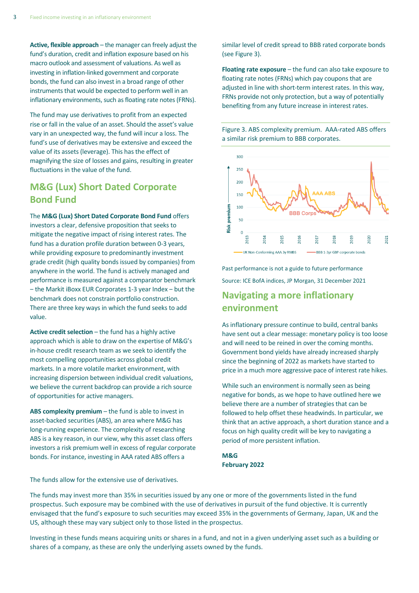**Active, flexible approach** – the manager can freely adjust the fund's duration, credit and inflation exposure based on his macro outlook and assessment of valuations. As well as investing in inflation-linked government and corporate bonds, the fund can also invest in a broad range of other instruments that would be expected to perform well in an inflationary environments, such as floating rate notes (FRNs).

The fund may use derivatives to profit from an expected rise or fall in the value of an asset. Should the asset's value vary in an unexpected way, the fund will incur a loss. The fund's use of derivatives may be extensive and exceed the value of its assets (leverage). This has the effect of magnifying the size of losses and gains, resulting in greater fluctuations in the value of the fund.

## **M&G (Lux) Short Dated Corporate Bond Fund**

The **M&G (Lux) Short Dated Corporate Bond Fund** offers investors a clear, defensive proposition that seeks to mitigate the negative impact of rising interest rates. The fund has a duration profile duration between 0-3 years, while providing exposure to predominantly investment grade credit (high quality bonds issued by companies) from anywhere in the world. The fund is actively managed and performance is measured against a comparator benchmark - the Markit iBoxx EUR Corporates 1-3 year Index - but the benchmark does not constrain portfolio construction. There are three key ways in which the fund seeks to add value.

**Active credit selection** – the fund has a highly active approach which is able to draw on the expertise of M&G's in-house credit research team as we seek to identify the most compelling opportunities across global credit markets. In a more volatile market environment, with increasing dispersion between individual credit valuations, we believe the current backdrop can provide a rich source of opportunities for active managers.

**ABS complexity premium** – the fund is able to invest in asset-backed securities (ABS), an area where M&G has long-running experience. The complexity of researching ABS is a key reason, in our view, why this asset class offers investors a risk premium well in excess of regular corporate bonds. For instance, investing in AAA rated ABS offers a

similar level of credit spread to BBB rated corporate bonds (see Figure 3).

**Floating rate exposure** – the fund can also take exposure to floating rate notes (FRNs) which pay coupons that are adjusted in line with short-term interest rates. In this way, FRNs provide not only protection, but a way of potentially benefiting from any future increase in interest rates.

Figure 3. ABS complexity premium. AAA-rated ABS offers a similar risk premium to BBB corporates.



Past performance is not a guide to future performance Source: ICE BofA indices, JP Morgan, 31 December 2021

## **Navigating a more inflationary environment**

As inflationary pressure continue to build, central banks have sent out a clear message: monetary policy is too loose and will need to be reined in over the coming months. Government bond yields have already increased sharply since the beginning of 2022 as markets have started to price in a much more aggressive pace of interest rate hikes.

While such an environment is normally seen as being negative for bonds, as we hope to have outlined here we believe there are a number of strategies that can be followed to help offset these headwinds. In particular, we think that an active approach, a short duration stance and a focus on high quality credit will be key to navigating a period of more persistent inflation.

**M&G February 2022**

The funds allow for the extensive use of derivatives.

The funds may invest more than 35% in securities issued by any one or more of the governments listed in the fund prospectus. Such exposure may be combined with the use of derivatives in pursuit of the fund objective. It is currently envisaged that the fund's exposure to such securities may exceed 35% in the governments of Germany, Japan, UK and the US, although these may vary subject only to those listed in the prospectus.

Investing in these funds means acquiring units or shares in a fund, and not in a given underlying asset such as a building or shares of a company, as these are only the underlying assets owned by the funds.